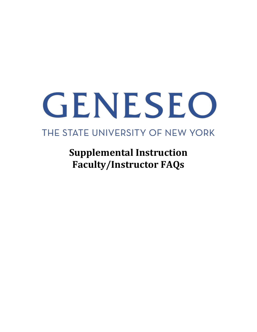# GENESEO

# THE STATE UNIVERSITY OF NEW YORK

**Supplemental Instruction Faculty/Instructor FAQs**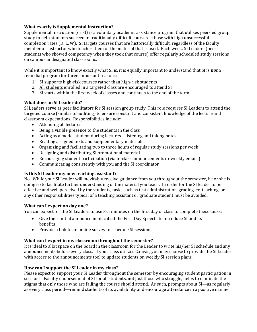# **What exactly** *is* **Supplemental Instruction?**

Supplemental Instruction (or SI) is a voluntary academic assistance program that utilizes peer-led group study to help students succeed in traditionally difficult courses—those with high unsuccessful completion rates (D, E, W). SI targets courses that are historically difficult, regardless of the faculty member or instructor who teaches them or the material that is used. Each week, SI Leaders (peer students who showed competency when they took that course) offer regularly scheduled study sessions on campus in designated classrooms.

While it is important to know exactly what SI is, it is equally important to understand that SI is *not* a remedial program for three important reasons:

- 1. SI supports high-risk courses rather than high-risk students
- 2. All students enrolled in a targeted class are encouraged to attend SI
- 3. SI starts within the first week of classes and continues to the end of the term

# **What does an SI Leader do?**

SI Leaders serve as peer facilitators for SI session group study. This role requires SI Leaders to attend the targeted course (similar to auditing) to ensure constant and consistent knowledge of the lecture and classroom expectations. Responsibilities include:

- Attending all lectures
- Being a visible presence to the students in the class
- Acting as a model student during lectures—listening and taking notes
- Reading assigned texts and supplementary materials
- Organizing and facilitating two to three hours of regular study sessions per week
- Designing and distributing SI promotional material
- Encouraging student participation (via in-class announcements or weekly emails)
- Communicating consistently with you and the SI coordinator

# **Is this SI Leader my new teaching assistant?**

No. While your SI Leader will inevitably receive guidance from you throughout the semester, he or she is doing so to facilitate further understanding of the material you teach. In order for the SI leader to be effective and well perceived by the students, tasks such as test administration, grading, co-teaching, or any other responsibilities typical of a teaching assistant or graduate student must be avoided.

# **What can I expect on day one?**

You can expect for the SI Leaders to use 3-5 minutes on the first day of class to complete these tasks:

- Give their initial announcement, called the First Day Speech, to introduce SI and its benefits
- Provide a link to an online survey to schedule SI sessions

# **What can I expect in my classroom throughout the semester?**

It is ideal to allot space on the board in the classroom for the Leader to write his/her SI schedule and any announcements before every class. If your class utilizes Canvas, you may choose to provide the SI Leader with access to the announcements tool to update students on weekly SI session plans.

# **How can I support the SI Leader in my class?**

Please expect to support your SI Leader throughout the semester by encouraging student participation in sessions. Faculty endorsement of SI for all students, not just those who struggle, helps to eliminate the stigma that only those who are failing the course should attend. As such, prompts about SI—as regularly as every class period—remind students of its availability and encourage attendance in a positive manner.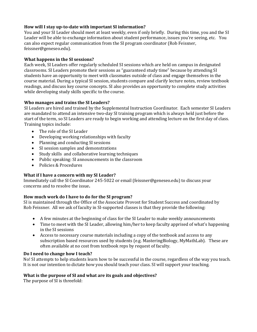# **How will I stay up-to-date with important SI information?**

You and your SI Leader should meet at least weekly, even if only briefly. During this time, you and the SI Leader will be able to exchange information about student performance, issues you're seeing, etc. You can also expect regular communication from the SI program coordinator (Rob Feissner, feissner@geneseo.edu).

# **What happens in the SI sessions?**

Each week, SI Leaders offer regularly scheduled SI sessions which are held on campus in designated classrooms. SI Leaders promote their sessions as "guaranteed study time" because by attending SI students have an opportunity to meet with classmates outside of class and engage themselves in the course material. During a typical SI session, students compare and clarify lecture notes, review textbook readings, and discuss key course concepts. SI also provides an opportunity to complete study activities while developing study skills specific to the course.

# **Who manages and trains the SI Leaders?**

SI Leaders are hired and trained by the Supplemental Instruction Coordinator. Each semester SI Leaders are mandated to attend an intensive two-day SI training program which is always held just before the start of the term, so SI Leaders are ready to begin working and attending lecture on the first day of class. Training topics include:

- The role of the SI Leader
- Developing working relationships with faculty
- Planning and conducting SI sessions
- SI session samples and demonstrations
- Study skills and collaborative learning techniques
- Public speaking: SI announcements in the classroom
- Policies & Procedures

# **What if I have a concern with my SI Leader?**

Immediately call the SI Coordinator 245-5022 or email (feissner@geneseo.edu) to discuss your concerns and to resolve the issue**.** 

# **How much work do I have to do for the SI program?**

SI is maintained through the Office of the Associate Provost for Student Success and coordinated by Rob Feissner. All we ask of faculty in SI-supported classes is that they provide the following:

- A few minutes at the beginning of class for the SI Leader to make weekly announcements
- Time to meet with the SI Leader, allowing him/her to keep faculty apprised of what's happening in the SI sessions
- Access to necessary course materials including a copy of the textbook and access to any subscription based resources used by students (e.g. MasteringBiology, MyMathLab). These are often available at no cost from textbook reps by request of faculty.

# **Do I need to change how I teach?**

No! SI attempts to help students learn how to be successful in the course, regardless of the way you teach. It is not our intention to dictate how you should teach your class. SI will support your teaching.

# **What is the purpose of SI and what are its goals and objectives?**

The purpose of SI is threefold: